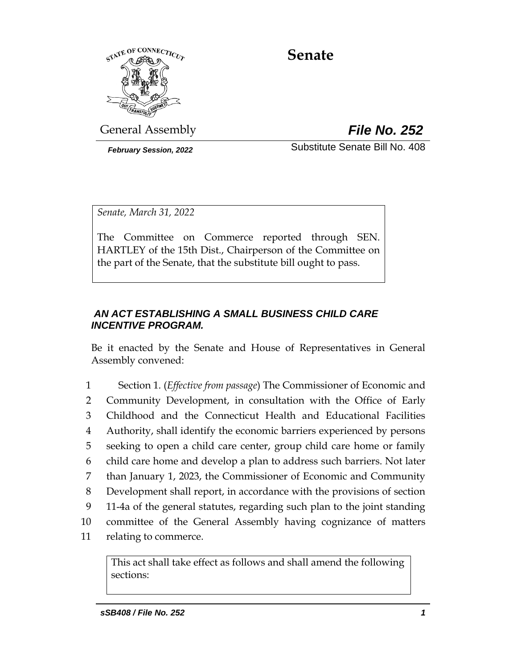

# **Senate**

General Assembly *File No. 252*

*February Session, 2022* Substitute Senate Bill No. 408

*Senate, March 31, 2022*

The Committee on Commerce reported through SEN. HARTLEY of the 15th Dist., Chairperson of the Committee on the part of the Senate, that the substitute bill ought to pass.

# *AN ACT ESTABLISHING A SMALL BUSINESS CHILD CARE INCENTIVE PROGRAM.*

Be it enacted by the Senate and House of Representatives in General Assembly convened:

 Section 1. (*Effective from passage*) The Commissioner of Economic and Community Development, in consultation with the Office of Early Childhood and the Connecticut Health and Educational Facilities Authority, shall identify the economic barriers experienced by persons seeking to open a child care center, group child care home or family child care home and develop a plan to address such barriers. Not later than January 1, 2023, the Commissioner of Economic and Community Development shall report, in accordance with the provisions of section 11-4a of the general statutes, regarding such plan to the joint standing committee of the General Assembly having cognizance of matters relating to commerce.

This act shall take effect as follows and shall amend the following sections: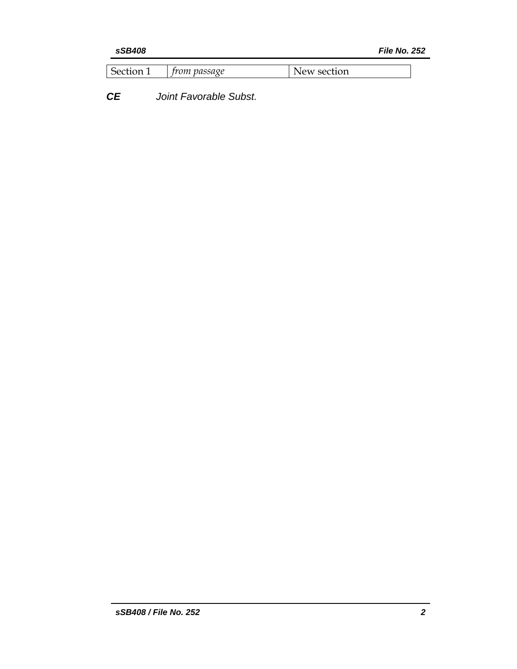| Section | trom passage | New section |
|---------|--------------|-------------|
|---------|--------------|-------------|

*CE Joint Favorable Subst.*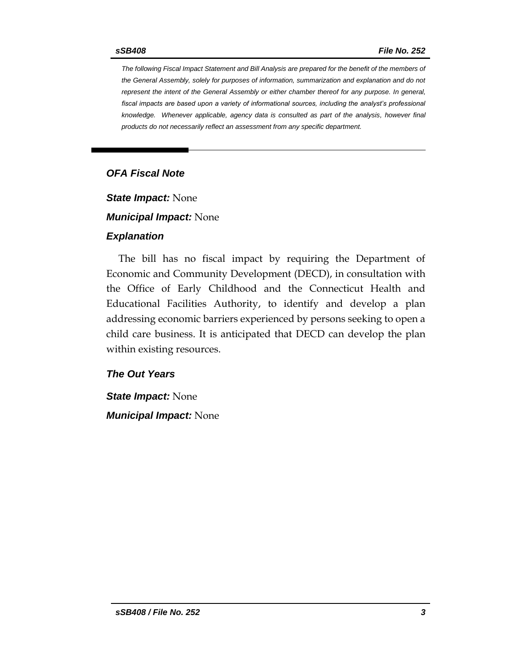*The following Fiscal Impact Statement and Bill Analysis are prepared for the benefit of the members of the General Assembly, solely for purposes of information, summarization and explanation and do not represent the intent of the General Assembly or either chamber thereof for any purpose. In general,*  fiscal impacts are based upon a variety of informational sources, including the analyst's professional *knowledge. Whenever applicable, agency data is consulted as part of the analysis, however final products do not necessarily reflect an assessment from any specific department.*

## *OFA Fiscal Note*

*State Impact:* None

*Municipal Impact:* None

#### *Explanation*

The bill has no fiscal impact by requiring the Department of Economic and Community Development (DECD), in consultation with the Office of Early Childhood and the Connecticut Health and Educational Facilities Authority, to identify and develop a plan addressing economic barriers experienced by persons seeking to open a child care business. It is anticipated that DECD can develop the plan within existing resources.

#### *The Out Years*

*State Impact:* None *Municipal Impact:* None